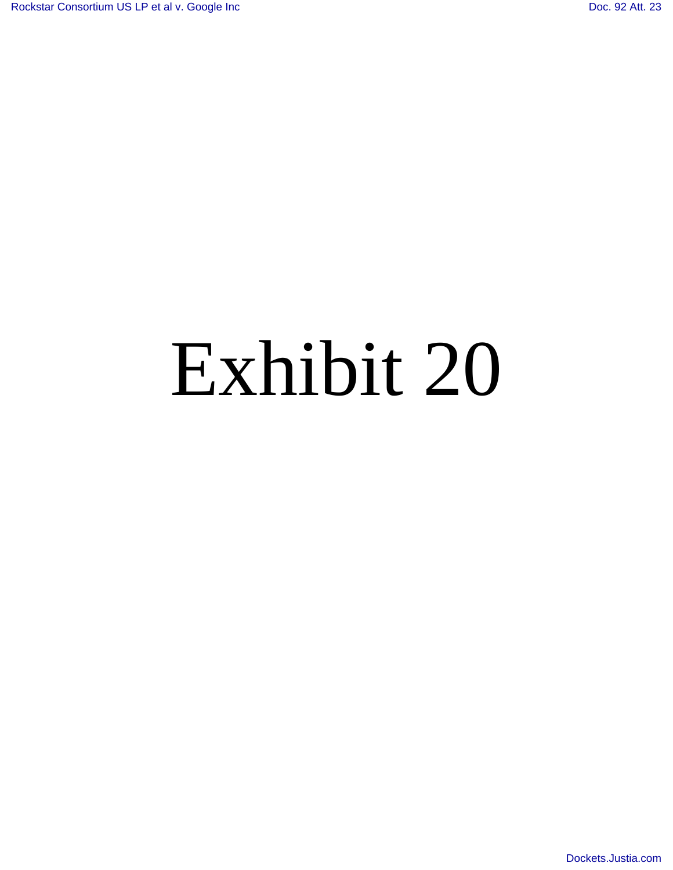## Exhibit 20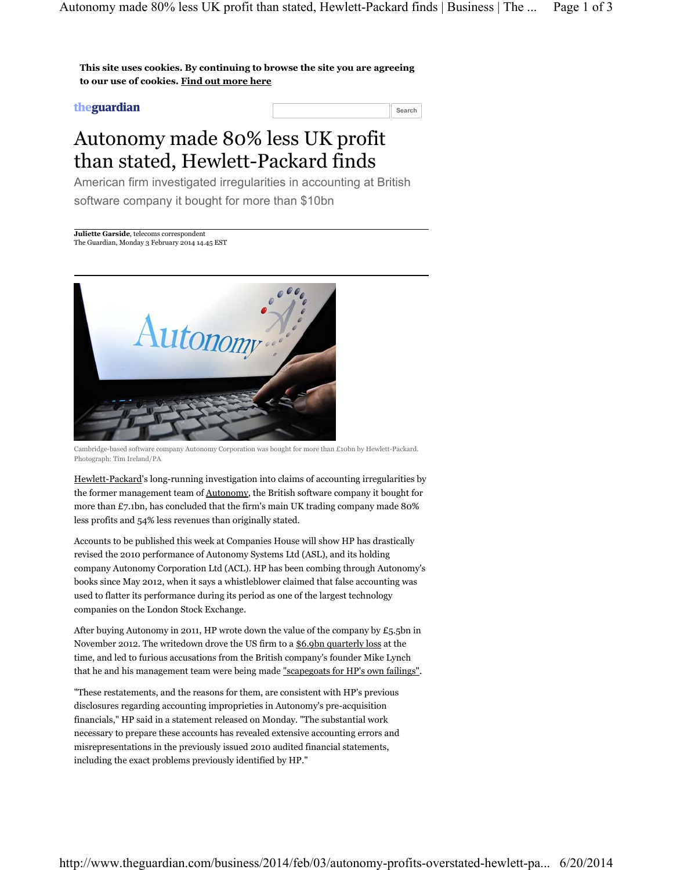**This site uses cookies. By continuing to browse the site you are agreeing to our use of cookies. Find out more here**

## theguardian

**Search**

## Autonomy made 80% less UK profit than stated, Hewlett-Packard finds

American firm investigated irregularities in accounting at British software company it bought for more than \$10bn

**Juliette Garside**, telecoms correspondent The Guardian, Monday 3 February 2014 14.45 EST



Cambridge-based software company Autonomy Corporation was bought for more than £10bn by Hewlett-Packard. Photograph: Tim Ireland/PA

Hewlett-Packard's long-running investigation into claims of accounting irregularities by the former management team of Autonomy, the British software company it bought for more than £7.1bn, has concluded that the firm's main UK trading company made 80% less profits and 54% less revenues than originally stated.

Accounts to be published this week at Companies House will show HP has drastically revised the 2010 performance of Autonomy Systems Ltd (ASL), and its holding company Autonomy Corporation Ltd (ACL). HP has been combing through Autonomy's books since May 2012, when it says a whistleblower claimed that false accounting was used to flatter its performance during its period as one of the largest technology companies on the London Stock Exchange.

After buying Autonomy in 2011, HP wrote down the value of the company by  $£5.5$ bn in November 2012. The writedown drove the US firm to a \$6.9bn quarterly loss at the time, and led to furious accusations from the British company's founder Mike Lynch that he and his management team were being made "scapegoats for HP's own failings".

"These restatements, and the reasons for them, are consistent with HP's previous disclosures regarding accounting improprieties in Autonomy's pre-acquisition financials," HP said in a statement released on Monday. "The substantial work necessary to prepare these accounts has revealed extensive accounting errors and misrepresentations in the previously issued 2010 audited financial statements, including the exact problems previously identified by HP."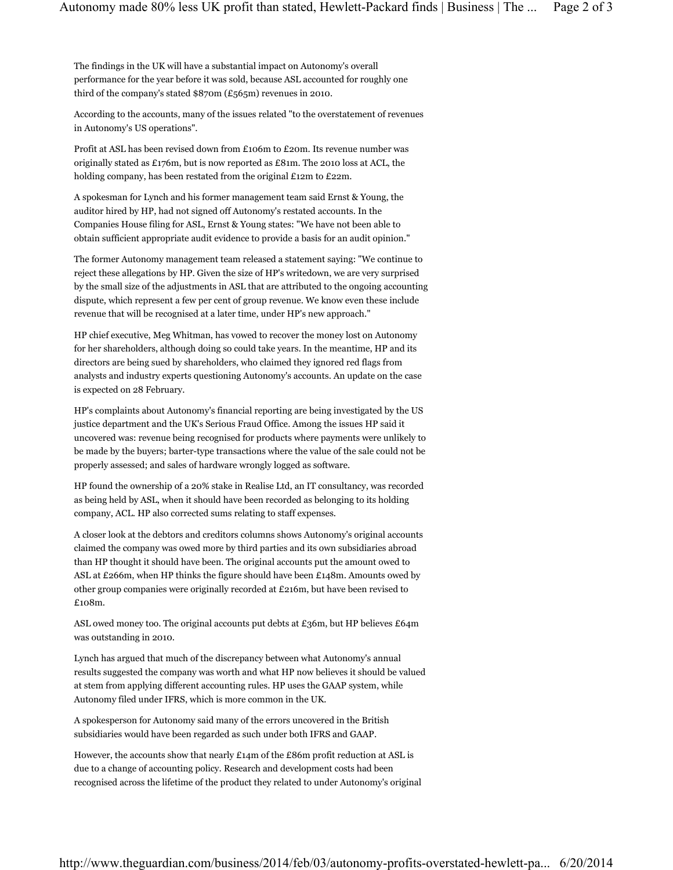The findings in the UK will have a substantial impact on Autonomy's overall performance for the year before it was sold, because ASL accounted for roughly one third of the company's stated  $$870m (£565m)$  revenues in 2010.

According to the accounts, many of the issues related "to the overstatement of revenues in Autonomy's US operations".

Profit at ASL has been revised down from £106m to £20m. Its revenue number was originally stated as £176m, but is now reported as £81m. The 2010 loss at ACL, the holding company, has been restated from the original £12m to £22m.

A spokesman for Lynch and his former management team said Ernst & Young, the auditor hired by HP, had not signed off Autonomy's restated accounts. In the Companies House filing for ASL, Ernst & Young states: "We have not been able to obtain sufficient appropriate audit evidence to provide a basis for an audit opinion."

The former Autonomy management team released a statement saying: "We continue to reject these allegations by HP. Given the size of HP's writedown, we are very surprised by the small size of the adjustments in ASL that are attributed to the ongoing accounting dispute, which represent a few per cent of group revenue. We know even these include revenue that will be recognised at a later time, under HP's new approach."

HP chief executive, Meg Whitman, has vowed to recover the money lost on Autonomy for her shareholders, although doing so could take years. In the meantime, HP and its directors are being sued by shareholders, who claimed they ignored red flags from analysts and industry experts questioning Autonomy's accounts. An update on the case is expected on 28 February.

HP's complaints about Autonomy's financial reporting are being investigated by the US justice department and the UK's Serious Fraud Office. Among the issues HP said it uncovered was: revenue being recognised for products where payments were unlikely to be made by the buyers; barter-type transactions where the value of the sale could not be properly assessed; and sales of hardware wrongly logged as software.

HP found the ownership of a 20% stake in Realise Ltd, an IT consultancy, was recorded as being held by ASL, when it should have been recorded as belonging to its holding company, ACL. HP also corrected sums relating to staff expenses.

A closer look at the debtors and creditors columns shows Autonomy's original accounts claimed the company was owed more by third parties and its own subsidiaries abroad than HP thought it should have been. The original accounts put the amount owed to ASL at £266m, when HP thinks the figure should have been £148m. Amounts owed by other group companies were originally recorded at £216m, but have been revised to £108m.

ASL owed money too. The original accounts put debts at  $E_3$ 6m, but HP believes £64m was outstanding in 2010.

Lynch has argued that much of the discrepancy between what Autonomy's annual results suggested the company was worth and what HP now believes it should be valued at stem from applying different accounting rules. HP uses the GAAP system, while Autonomy filed under IFRS, which is more common in the UK.

A spokesperson for Autonomy said many of the errors uncovered in the British subsidiaries would have been regarded as such under both IFRS and GAAP.

However, the accounts show that nearly £14m of the £86m profit reduction at ASL is due to a change of accounting policy. Research and development costs had been recognised across the lifetime of the product they related to under Autonomy's original